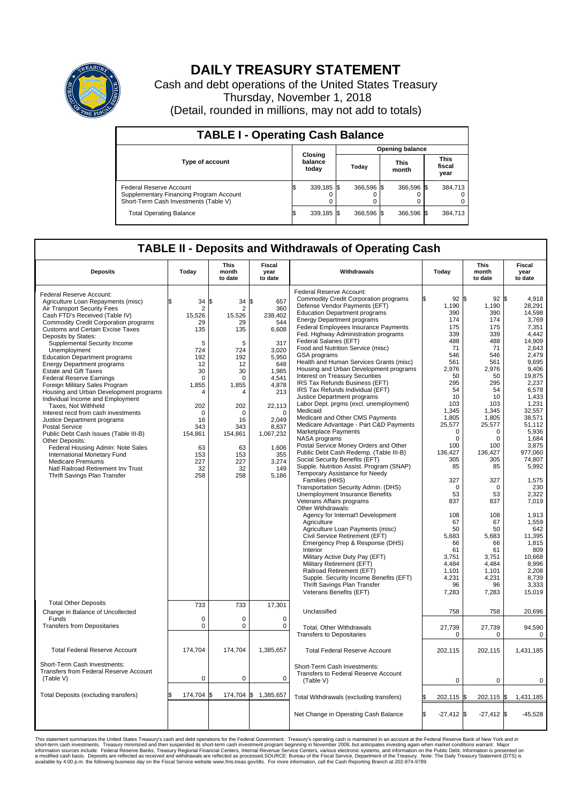

## **DAILY TREASURY STATEMENT**

Cash and debt operations of the United States Treasury Thursday, November 1, 2018 (Detail, rounded in millions, may not add to totals)

| <b>TABLE I - Operating Cash Balance</b>                                                                     |    |                             |                        |            |  |                      |  |                               |  |  |
|-------------------------------------------------------------------------------------------------------------|----|-----------------------------|------------------------|------------|--|----------------------|--|-------------------------------|--|--|
|                                                                                                             |    |                             | <b>Opening balance</b> |            |  |                      |  |                               |  |  |
| Type of account                                                                                             |    | Closing<br>balance<br>today |                        | Today      |  | <b>This</b><br>month |  | <b>This</b><br>fiscal<br>year |  |  |
| Federal Reserve Account<br>Supplementary Financing Program Account<br>Short-Term Cash Investments (Table V) |    | 339,185 \$                  |                        | 366.596 \$ |  | 366,596 \$           |  | 384,713                       |  |  |
| <b>Total Operating Balance</b>                                                                              | ß. | 339,185 \$                  |                        | 366,596 \$ |  | 366,596 \$           |  | 384,713                       |  |  |

## **TABLE II - Deposits and Withdrawals of Operating Cash**

| <b>Deposits</b>                                                                                                                                                                                                                                                                                                                                                                                                                                                                                                                                                                   | Today                                                                                                              | <b>This</b><br>month<br>to date                                                                                    | <b>Fiscal</b><br>year<br>to date                                                                                  | Withdrawals                                                                                                                                                                                                                                                                                                                                                                                                                                                                                                                                                                                                                                                                                                                                                                          | Today                                                                                                                                                                | <b>This</b><br>month<br>to date                                                                                                                                                             | <b>Fiscal</b><br>year<br>to date                                                                                                                                                                    |  |  |  |  |
|-----------------------------------------------------------------------------------------------------------------------------------------------------------------------------------------------------------------------------------------------------------------------------------------------------------------------------------------------------------------------------------------------------------------------------------------------------------------------------------------------------------------------------------------------------------------------------------|--------------------------------------------------------------------------------------------------------------------|--------------------------------------------------------------------------------------------------------------------|-------------------------------------------------------------------------------------------------------------------|--------------------------------------------------------------------------------------------------------------------------------------------------------------------------------------------------------------------------------------------------------------------------------------------------------------------------------------------------------------------------------------------------------------------------------------------------------------------------------------------------------------------------------------------------------------------------------------------------------------------------------------------------------------------------------------------------------------------------------------------------------------------------------------|----------------------------------------------------------------------------------------------------------------------------------------------------------------------|---------------------------------------------------------------------------------------------------------------------------------------------------------------------------------------------|-----------------------------------------------------------------------------------------------------------------------------------------------------------------------------------------------------|--|--|--|--|
| Federal Reserve Account:<br>Agriculture Loan Repayments (misc)<br>Air Transport Security Fees<br>Cash FTD's Received (Table IV)<br><b>Commodity Credit Corporation programs</b><br>Customs and Certain Excise Taxes<br>Deposits by States:<br>Supplemental Security Income<br>Unemployment<br><b>Education Department programs</b><br><b>Energy Department programs</b><br><b>Estate and Gift Taxes</b><br><b>Federal Reserve Earnings</b><br>Foreign Military Sales Program<br>Housing and Urban Development programs<br>Individual Income and Employment<br>Taxes. Not Withheld | \$.<br>34<br>$\overline{2}$<br>15,526<br>29<br>135<br>5<br>724<br>192<br>12<br>30<br>$\Omega$<br>1,855<br>4<br>202 | \$<br>34S<br>$\overline{2}$<br>15,526<br>29<br>135<br>5<br>724<br>192<br>12<br>30<br>$\Omega$<br>1,855<br>4<br>202 | 657<br>360<br>238,402<br>544<br>6,608<br>317<br>3,020<br>5,950<br>648<br>1,985<br>4,541<br>4,878<br>213<br>22,113 | Federal Reserve Account:<br><b>Commodity Credit Corporation programs</b><br>Defense Vendor Payments (EFT)<br><b>Education Department programs</b><br><b>Energy Department programs</b><br>Federal Employees Insurance Payments<br>Fed. Highway Administration programs<br>Federal Salaries (EFT)<br>Food and Nutrition Service (misc)<br><b>GSA</b> programs<br>Health and Human Services Grants (misc)<br>Housing and Urban Development programs<br>Interest on Treasury Securities<br>IRS Tax Refunds Business (EFT)<br>IRS Tax Refunds Individual (EFT)<br>Justice Department programs<br>Labor Dept. prgms (excl. unemployment)<br>Medicaid                                                                                                                                      | 92<br>Ŝ.<br>1.190<br>390<br>174<br>175<br>339<br>488<br>71<br>546<br>561<br>2,976<br>50<br>295<br>54<br>10<br>103<br>1.345                                           | 92S<br>\$<br>1.190<br>390<br>174<br>175<br>339<br>488<br>71<br>546<br>561<br>2,976<br>50<br>295<br>54<br>10<br>103<br>1.345                                                                 | 4,918<br>28.291<br>14.598<br>3,769<br>7.351<br>4,442<br>14.909<br>2,643<br>2,479<br>9.695<br>9,406<br>19,875<br>2.237<br>6,578<br>1.433<br>1,231<br>32.557                                          |  |  |  |  |
| Interest recd from cash investments<br>Justice Department programs<br>Postal Service<br>Public Debt Cash Issues (Table III-B)<br>Other Deposits:<br>Federal Housing Admin: Note Sales<br>International Monetary Fund<br><b>Medicare Premiums</b><br>Natl Railroad Retirement Inv Trust<br>Thrift Savings Plan Transfer                                                                                                                                                                                                                                                            | $\mathbf 0$<br>16<br>343<br>154,861<br>63<br>153<br>227<br>32<br>258                                               | $\mathbf 0$<br>16<br>343<br>154,861<br>63<br>153<br>227<br>32<br>258                                               | $\mathbf 0$<br>2,049<br>8.837<br>1,067,232<br>1,606<br>355<br>3,274<br>149<br>5,186                               | Medicare and Other CMS Payments<br>Medicare Advantage - Part C&D Payments<br>Marketplace Payments<br>NASA programs<br>Postal Service Money Orders and Other<br>Public Debt Cash Redemp. (Table III-B)<br>Social Security Benefits (EFT)<br>Supple. Nutrition Assist. Program (SNAP)<br>Temporary Assistance for Needy<br>Families (HHS)<br>Transportation Security Admin. (DHS)<br>Unemployment Insurance Benefits<br>Veterans Affairs programs<br>Other Withdrawals:<br>Agency for Internat'l Development<br>Agriculture<br>Agriculture Loan Payments (misc)<br>Civil Service Retirement (EFT)<br>Emergency Prep & Response (DHS)<br>Interior<br>Military Active Duty Pay (EFT)<br>Military Retirement (EFT)<br>Railroad Retirement (EFT)<br>Supple. Security Income Benefits (EFT) | 1,805<br>25,577<br>0<br>0<br>100<br>136,427<br>305<br>85<br>327<br>$\Omega$<br>53<br>837<br>108<br>67<br>50<br>5,683<br>66<br>61<br>3,751<br>4,484<br>1,101<br>4,231 | 1,805<br>25,577<br>$\mathbf 0$<br>$\mathbf 0$<br>100<br>136,427<br>305<br>85<br>327<br>$\mathbf 0$<br>53<br>837<br>108<br>67<br>50<br>5,683<br>66<br>61<br>3,751<br>4,484<br>1,101<br>4,231 | 38,571<br>51,112<br>5,936<br>1,684<br>3,875<br>977,060<br>74.807<br>5,992<br>1,575<br>230<br>2,322<br>7,019<br>1,913<br>1,559<br>642<br>11,395<br>1,815<br>809<br>10,668<br>8,996<br>2.208<br>8,739 |  |  |  |  |
| <b>Total Other Deposits</b><br>Change in Balance of Uncollected<br>Funds<br>Transfers from Depositaries                                                                                                                                                                                                                                                                                                                                                                                                                                                                           | 733<br>$\mathbf 0$<br>$\pmb{0}$                                                                                    | 733<br>$\mathbf 0$<br>0                                                                                            | 17,301<br>$\mathbf 0$<br>0                                                                                        | Thrift Savings Plan Transfer<br>Veterans Benefits (EFT)<br>Unclassified<br><b>Total. Other Withdrawals</b><br><b>Transfers to Depositaries</b>                                                                                                                                                                                                                                                                                                                                                                                                                                                                                                                                                                                                                                       | 96<br>7,283<br>758<br>27,739<br>$\Omega$                                                                                                                             | 96<br>7,283<br>758<br>27,739<br>$\Omega$                                                                                                                                                    | 3,333<br>15,019<br>20,696<br>94,590<br>$\Omega$                                                                                                                                                     |  |  |  |  |
| <b>Total Federal Reserve Account</b><br>Short-Term Cash Investments:<br>Transfers from Federal Reserve Account<br>(Table V)                                                                                                                                                                                                                                                                                                                                                                                                                                                       | 174,704<br>$\mathbf 0$                                                                                             | 174,704<br>$\mathbf 0$                                                                                             | 1,385,657<br>$\mathbf 0$                                                                                          | <b>Total Federal Reserve Account</b><br>Short-Term Cash Investments:<br><b>Transfers to Federal Reserve Account</b><br>(Table V)                                                                                                                                                                                                                                                                                                                                                                                                                                                                                                                                                                                                                                                     | 202,115<br>$\mathbf 0$                                                                                                                                               | 202,115<br>$\mathbf 0$                                                                                                                                                                      | 1,431,185<br>$\mathbf 0$                                                                                                                                                                            |  |  |  |  |
| Total Deposits (excluding transfers)                                                                                                                                                                                                                                                                                                                                                                                                                                                                                                                                              | 174,704 \$<br>\$                                                                                                   |                                                                                                                    | 174,704 \$ 1,385,657                                                                                              | Total Withdrawals (excluding transfers)                                                                                                                                                                                                                                                                                                                                                                                                                                                                                                                                                                                                                                                                                                                                              | 202,115                                                                                                                                                              | 202,115<br>\$                                                                                                                                                                               | 1,431,185<br>1\$                                                                                                                                                                                    |  |  |  |  |
|                                                                                                                                                                                                                                                                                                                                                                                                                                                                                                                                                                                   |                                                                                                                    |                                                                                                                    |                                                                                                                   | Net Change in Operating Cash Balance                                                                                                                                                                                                                                                                                                                                                                                                                                                                                                                                                                                                                                                                                                                                                 | ß<br>$-27,412$ \$                                                                                                                                                    | $-27,412$ \$                                                                                                                                                                                | $-45,528$                                                                                                                                                                                           |  |  |  |  |

This statement summarizes the United States Treasury's cash and debt operations for the Federal Government. Treasury soperating in November 2008, but anticiarded in a cocount at the Federal Reserve Bank of New York and in<br>